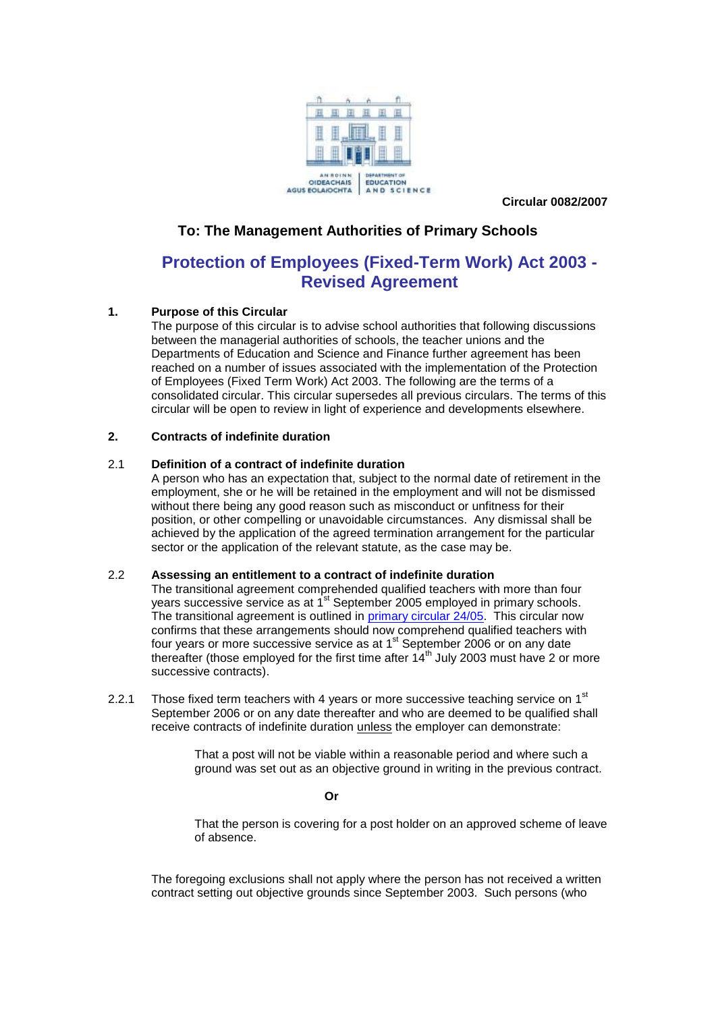

**Circular 0082/2007**

#### **To: The Management Authorities of Primary Schools**

### **Protection of Employees (Fixed-Term Work) Act 2003 - Revised Agreement**

#### **1. Purpose of this Circular**

The purpose of this circular is to advise school authorities that following discussions between the managerial authorities of schools, the teacher unions and the Departments of Education and Science and Finance further agreement has been reached on a number of issues associated with the implementation of the Protection of Employees (Fixed Term Work) Act 2003. The following are the terms of a consolidated circular. This circular supersedes all previous circulars. The terms of this circular will be open to review in light of experience and developments elsewhere.

#### **2. Contracts of indefinite duration**

#### 2.1 **Definition of a contract of indefinite duration**

A person who has an expectation that, subject to the normal date of retirement in the employment, she or he will be retained in the employment and will not be dismissed without there being any good reason such as misconduct or unfitness for their position, or other compelling or unavoidable circumstances. Any dismissal shall be achieved by the application of the agreed termination arrangement for the particular sector or the application of the relevant statute, as the case may be.

#### 2.2 **Assessing an entitlement to a contract of indefinite duration**

The transitional agreement comprehended qualified teachers with more than four years successive service as at 1<sup>st</sup> September 2005 employed in primary schools. The transitional agreement is outlined in [primary circular 24/05.](http://www.education.ie/en/Circulars-and-Forms/Archived-Circulars/pc24_05.doc) This circular now confirms that these arrangements should now comprehend qualified teachers with four years or more successive service as at 1<sup>st</sup> September 2006 or on any date thereafter (those employed for the first time after 14<sup>th</sup> July 2003 must have 2 or more successive contracts).

2.2.1 Those fixed term teachers with 4 years or more successive teaching service on  $1<sup>st</sup>$ September 2006 or on any date thereafter and who are deemed to be qualified shall receive contracts of indefinite duration unless the employer can demonstrate:

> That a post will not be viable within a reasonable period and where such a ground was set out as an objective ground in writing in the previous contract.

#### **Or**

That the person is covering for a post holder on an approved scheme of leave of absence.

The foregoing exclusions shall not apply where the person has not received a written contract setting out objective grounds since September 2003. Such persons (who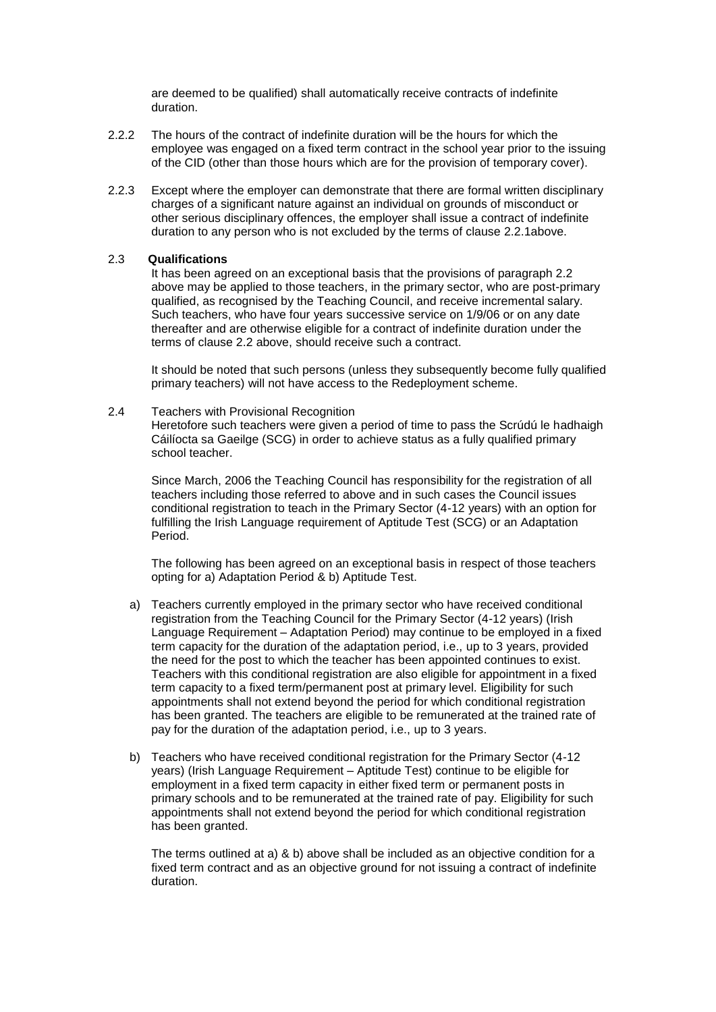are deemed to be qualified) shall automatically receive contracts of indefinite duration.

- 2.2.2 The hours of the contract of indefinite duration will be the hours for which the employee was engaged on a fixed term contract in the school year prior to the issuing of the CID (other than those hours which are for the provision of temporary cover).
- 2.2.3 Except where the employer can demonstrate that there are formal written disciplinary charges of a significant nature against an individual on grounds of misconduct or other serious disciplinary offences, the employer shall issue a contract of indefinite duration to any person who is not excluded by the terms of clause 2.2.1above.

#### 2.3 **Qualifications**

It has been agreed on an exceptional basis that the provisions of paragraph 2.2 above may be applied to those teachers, in the primary sector, who are post-primary qualified, as recognised by the Teaching Council, and receive incremental salary. Such teachers, who have four years successive service on 1/9/06 or on any date thereafter and are otherwise eligible for a contract of indefinite duration under the terms of clause 2.2 above, should receive such a contract.

It should be noted that such persons (unless they subsequently become fully qualified primary teachers) will not have access to the Redeployment scheme.

#### 2.4 Teachers with Provisional Recognition

Heretofore such teachers were given a period of time to pass the Scrúdú le hadhaigh Cáilíocta sa Gaeilge (SCG) in order to achieve status as a fully qualified primary school teacher.

Since March, 2006 the Teaching Council has responsibility for the registration of all teachers including those referred to above and in such cases the Council issues conditional registration to teach in the Primary Sector (4-12 years) with an option for fulfilling the Irish Language requirement of Aptitude Test (SCG) or an Adaptation Period.

The following has been agreed on an exceptional basis in respect of those teachers opting for a) Adaptation Period & b) Aptitude Test.

- a) Teachers currently employed in the primary sector who have received conditional registration from the Teaching Council for the Primary Sector (4-12 years) (Irish Language Requirement – Adaptation Period) may continue to be employed in a fixed term capacity for the duration of the adaptation period, i.e., up to 3 years, provided the need for the post to which the teacher has been appointed continues to exist. Teachers with this conditional registration are also eligible for appointment in a fixed term capacity to a fixed term/permanent post at primary level. Eligibility for such appointments shall not extend beyond the period for which conditional registration has been granted. The teachers are eligible to be remunerated at the trained rate of pay for the duration of the adaptation period, i.e., up to 3 years.
- b) Teachers who have received conditional registration for the Primary Sector (4-12 years) (Irish Language Requirement – Aptitude Test) continue to be eligible for employment in a fixed term capacity in either fixed term or permanent posts in primary schools and to be remunerated at the trained rate of pay. Eligibility for such appointments shall not extend beyond the period for which conditional registration has been granted.

The terms outlined at a) & b) above shall be included as an objective condition for a fixed term contract and as an objective ground for not issuing a contract of indefinite duration.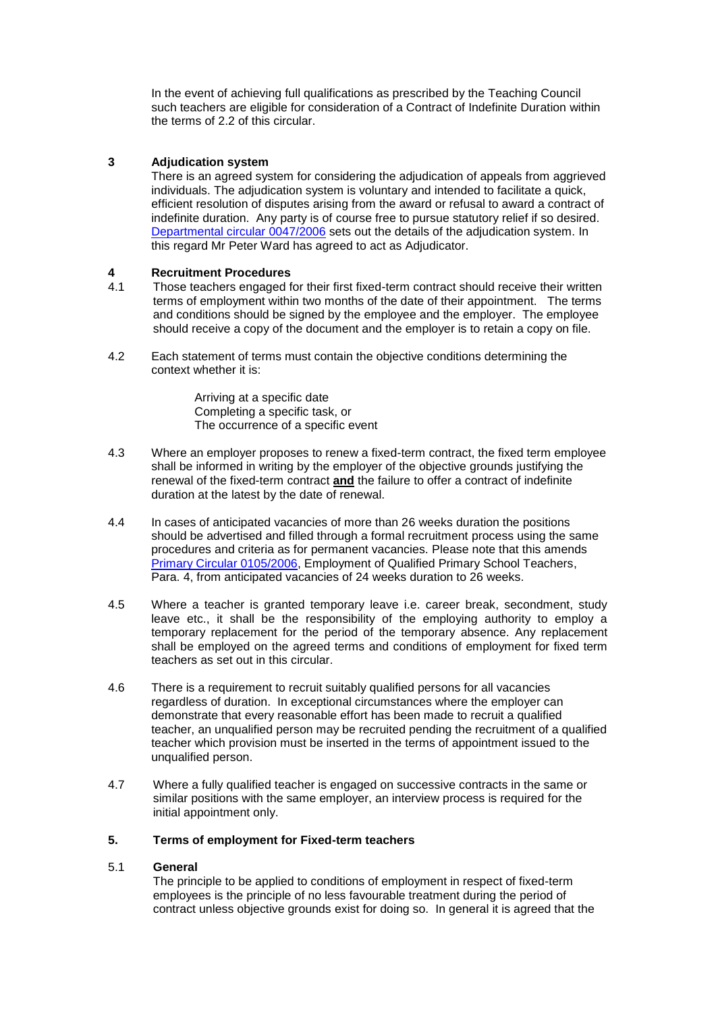In the event of achieving full qualifications as prescribed by the Teaching Council such teachers are eligible for consideration of a Contract of Indefinite Duration within the terms of 2.2 of this circular.

#### **3 Adjudication system**

There is an agreed system for considering the adjudication of appeals from aggrieved individuals. The adjudication system is voluntary and intended to facilitate a quick, efficient resolution of disputes arising from the award or refusal to award a contract of indefinite duration. Any party is of course free to pursue statutory relief if so desired. [Departmental circular 0047/2006](http://www.education.ie/en/Circulars-and-Forms/Active-Circulars/cl0047_2006.doc) sets out the details of the adjudication system. In this regard Mr Peter Ward has agreed to act as Adjudicator.

## **4 Recruitment Procedures**

- 4.1 Those teachers engaged for their first fixed-term contract should receive their written terms of employment within two months of the date of their appointment. The terms and conditions should be signed by the employee and the employer. The employee should receive a copy of the document and the employer is to retain a copy on file.
- 4.2 Each statement of terms must contain the objective conditions determining the context whether it is:

Arriving at a specific date Completing a specific task, or The occurrence of a specific event

- 4.3 Where an employer proposes to renew a fixed-term contract, the fixed term employee shall be informed in writing by the employer of the objective grounds justifying the renewal of the fixed-term contract **and** the failure to offer a contract of indefinite duration at the latest by the date of renewal.
- 4.4 In cases of anticipated vacancies of more than 26 weeks duration the positions should be advertised and filled through a formal recruitment process using the same procedures and criteria as for permanent vacancies. Please note that this amends [Primary Circular 0105/2006,](http://www.education.ie/en/Circulars-and-Forms/Archived-Circulars/cl0105_2006.doc) Employment of Qualified Primary School Teachers, Para. 4, from anticipated vacancies of 24 weeks duration to 26 weeks.
- 4.5 Where a teacher is granted temporary leave i.e. career break, secondment, study leave etc., it shall be the responsibility of the employing authority to employ a temporary replacement for the period of the temporary absence. Any replacement shall be employed on the agreed terms and conditions of employment for fixed term teachers as set out in this circular.
- 4.6 There is a requirement to recruit suitably qualified persons for all vacancies regardless of duration. In exceptional circumstances where the employer can demonstrate that every reasonable effort has been made to recruit a qualified teacher, an unqualified person may be recruited pending the recruitment of a qualified teacher which provision must be inserted in the terms of appointment issued to the unqualified person.
- 4.7 Where a fully qualified teacher is engaged on successive contracts in the same or similar positions with the same employer, an interview process is required for the initial appointment only.

#### **5. Terms of employment for Fixed-term teachers**

#### 5.1 **General**

The principle to be applied to conditions of employment in respect of fixed-term employees is the principle of no less favourable treatment during the period of contract unless objective grounds exist for doing so. In general it is agreed that the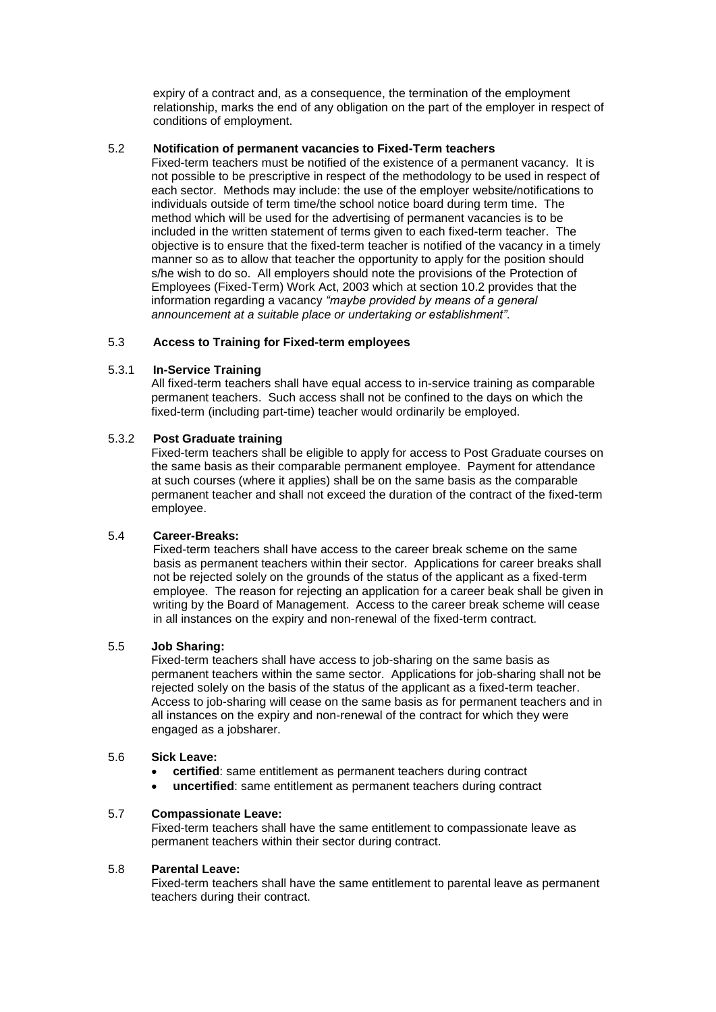expiry of a contract and, as a consequence, the termination of the employment relationship, marks the end of any obligation on the part of the employer in respect of conditions of employment.

#### 5.2 **Notification of permanent vacancies to Fixed-Term teachers**

Fixed-term teachers must be notified of the existence of a permanent vacancy. It is not possible to be prescriptive in respect of the methodology to be used in respect of each sector. Methods may include: the use of the employer website/notifications to individuals outside of term time/the school notice board during term time. The method which will be used for the advertising of permanent vacancies is to be included in the written statement of terms given to each fixed-term teacher. The objective is to ensure that the fixed-term teacher is notified of the vacancy in a timely manner so as to allow that teacher the opportunity to apply for the position should s/he wish to do so. All employers should note the provisions of the Protection of Employees (Fixed-Term) Work Act, 2003 which at section 10.2 provides that the information regarding a vacancy *"maybe provided by means of a general announcement at a suitable place or undertaking or establishment".*

#### 5.3 **Access to Training for Fixed-term employees**

#### 5.3.1 **In-Service Training**

All fixed-term teachers shall have equal access to in-service training as comparable permanent teachers. Such access shall not be confined to the days on which the fixed-term (including part-time) teacher would ordinarily be employed.

#### 5.3.2 **Post Graduate training**

Fixed-term teachers shall be eligible to apply for access to Post Graduate courses on the same basis as their comparable permanent employee. Payment for attendance at such courses (where it applies) shall be on the same basis as the comparable permanent teacher and shall not exceed the duration of the contract of the fixed-term employee.

#### 5.4 **Career-Breaks:**

Fixed-term teachers shall have access to the career break scheme on the same basis as permanent teachers within their sector. Applications for career breaks shall not be rejected solely on the grounds of the status of the applicant as a fixed-term employee. The reason for rejecting an application for a career beak shall be given in writing by the Board of Management. Access to the career break scheme will cease in all instances on the expiry and non-renewal of the fixed-term contract.

#### 5.5 **Job Sharing:**

Fixed-term teachers shall have access to job-sharing on the same basis as permanent teachers within the same sector. Applications for job-sharing shall not be rejected solely on the basis of the status of the applicant as a fixed-term teacher. Access to job-sharing will cease on the same basis as for permanent teachers and in all instances on the expiry and non-renewal of the contract for which they were engaged as a jobsharer.

#### 5.6 **Sick Leave:**

- **certified**: same entitlement as permanent teachers during contract
- **uncertified**: same entitlement as permanent teachers during contract

#### 5.7 **Compassionate Leave:**

Fixed-term teachers shall have the same entitlement to compassionate leave as permanent teachers within their sector during contract.

#### 5.8 **Parental Leave:**

Fixed-term teachers shall have the same entitlement to parental leave as permanent teachers during their contract.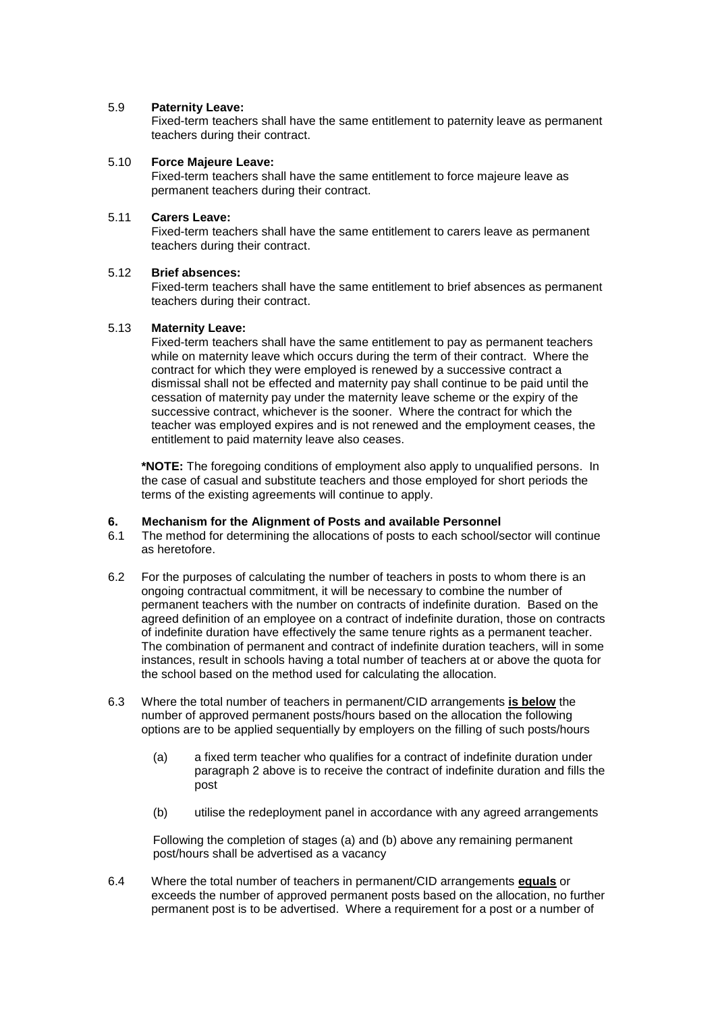#### 5.9 **Paternity Leave:**

Fixed-term teachers shall have the same entitlement to paternity leave as permanent teachers during their contract.

#### 5.10 **Force Majeure Leave:**

Fixed-term teachers shall have the same entitlement to force majeure leave as permanent teachers during their contract.

#### 5.11 **Carers Leave:**

Fixed-term teachers shall have the same entitlement to carers leave as permanent teachers during their contract.

#### 5.12 **Brief absences:**

Fixed-term teachers shall have the same entitlement to brief absences as permanent teachers during their contract.

#### 5.13 **Maternity Leave:**

Fixed-term teachers shall have the same entitlement to pay as permanent teachers while on maternity leave which occurs during the term of their contract. Where the contract for which they were employed is renewed by a successive contract a dismissal shall not be effected and maternity pay shall continue to be paid until the cessation of maternity pay under the maternity leave scheme or the expiry of the successive contract, whichever is the sooner. Where the contract for which the teacher was employed expires and is not renewed and the employment ceases, the entitlement to paid maternity leave also ceases.

**\*NOTE:** The foregoing conditions of employment also apply to unqualified persons. In the case of casual and substitute teachers and those employed for short periods the terms of the existing agreements will continue to apply.

#### **6. Mechanism for the Alignment of Posts and available Personnel**

- 6.1 The method for determining the allocations of posts to each school/sector will continue as heretofore.
- 6.2 For the purposes of calculating the number of teachers in posts to whom there is an ongoing contractual commitment, it will be necessary to combine the number of permanent teachers with the number on contracts of indefinite duration. Based on the agreed definition of an employee on a contract of indefinite duration, those on contracts of indefinite duration have effectively the same tenure rights as a permanent teacher. The combination of permanent and contract of indefinite duration teachers, will in some instances, result in schools having a total number of teachers at or above the quota for the school based on the method used for calculating the allocation.
- 6.3 Where the total number of teachers in permanent/CID arrangements **is below** the number of approved permanent posts/hours based on the allocation the following options are to be applied sequentially by employers on the filling of such posts/hours
	- (a) a fixed term teacher who qualifies for a contract of indefinite duration under paragraph 2 above is to receive the contract of indefinite duration and fills the post
	- (b) utilise the redeployment panel in accordance with any agreed arrangements

Following the completion of stages (a) and (b) above any remaining permanent post/hours shall be advertised as a vacancy

6.4 Where the total number of teachers in permanent/CID arrangements **equals** or exceeds the number of approved permanent posts based on the allocation, no further permanent post is to be advertised. Where a requirement for a post or a number of